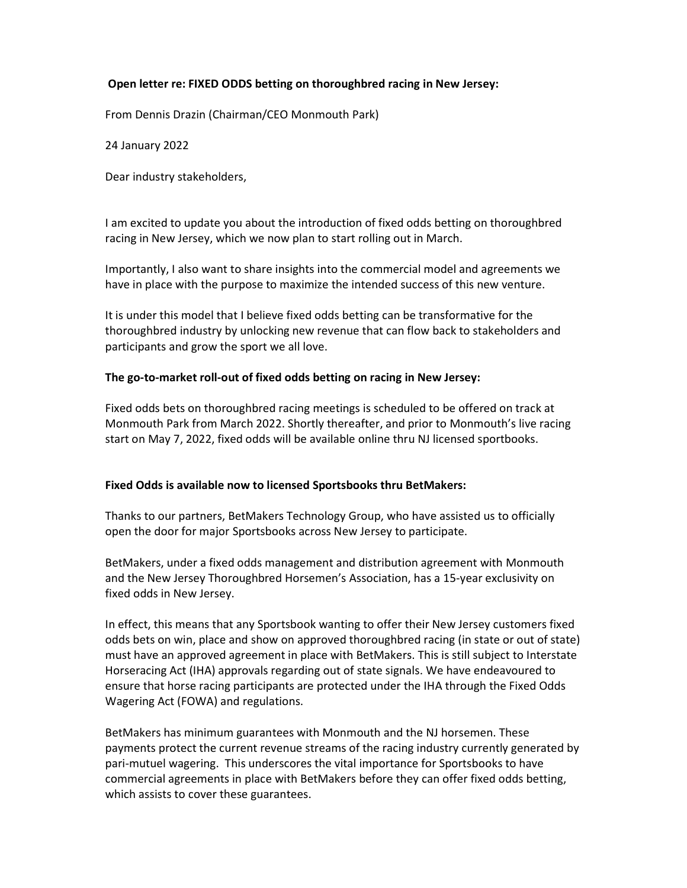## Open letter re: FIXED ODDS betting on thoroughbred racing in New Jersey:

From Dennis Drazin (Chairman/CEO Monmouth Park)

24 January 2022

Dear industry stakeholders,

I am excited to update you about the introduction of fixed odds betting on thoroughbred racing in New Jersey, which we now plan to start rolling out in March.

Importantly, I also want to share insights into the commercial model and agreements we have in place with the purpose to maximize the intended success of this new venture.

It is under this model that I believe fixed odds betting can be transformative for the thoroughbred industry by unlocking new revenue that can flow back to stakeholders and participants and grow the sport we all love.

### The go-to-market roll-out of fixed odds betting on racing in New Jersey:

Fixed odds bets on thoroughbred racing meetings is scheduled to be offered on track at Monmouth Park from March 2022. Shortly thereafter, and prior to Monmouth's live racing start on May 7, 2022, fixed odds will be available online thru NJ licensed sportbooks.

#### Fixed Odds is available now to licensed Sportsbooks thru BetMakers:

Thanks to our partners, BetMakers Technology Group, who have assisted us to officially open the door for major Sportsbooks across New Jersey to participate.

BetMakers, under a fixed odds management and distribution agreement with Monmouth and the New Jersey Thoroughbred Horsemen's Association, has a 15-year exclusivity on fixed odds in New Jersey.

In effect, this means that any Sportsbook wanting to offer their New Jersey customers fixed odds bets on win, place and show on approved thoroughbred racing (in state or out of state) must have an approved agreement in place with BetMakers. This is still subject to Interstate Horseracing Act (IHA) approvals regarding out of state signals. We have endeavoured to ensure that horse racing participants are protected under the IHA through the Fixed Odds Wagering Act (FOWA) and regulations.

BetMakers has minimum guarantees with Monmouth and the NJ horsemen. These payments protect the current revenue streams of the racing industry currently generated by pari-mutuel wagering. This underscores the vital importance for Sportsbooks to have commercial agreements in place with BetMakers before they can offer fixed odds betting, which assists to cover these guarantees.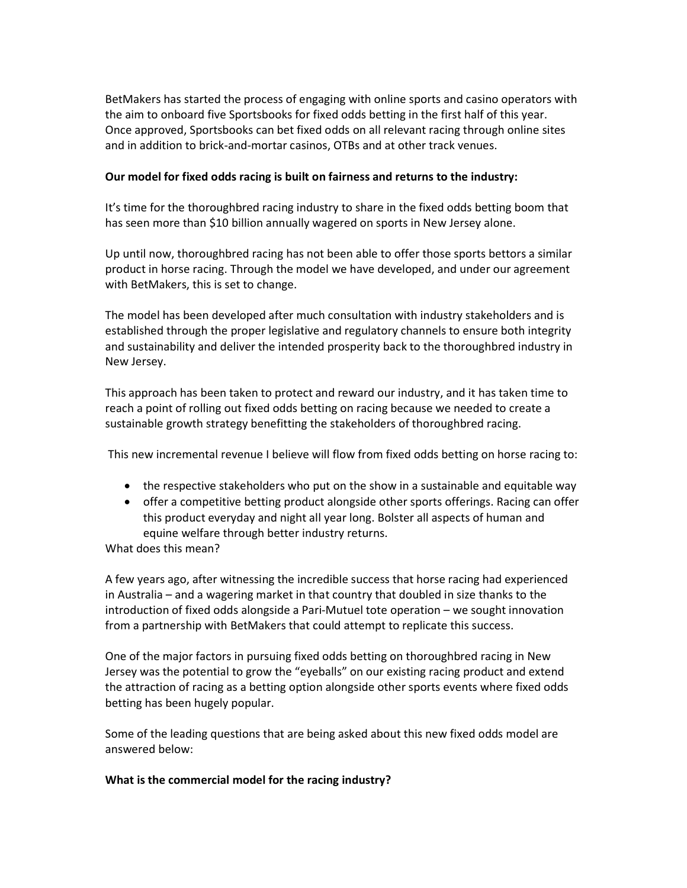BetMakers has started the process of engaging with online sports and casino operators with the aim to onboard five Sportsbooks for fixed odds betting in the first half of this year. Once approved, Sportsbooks can bet fixed odds on all relevant racing through online sites and in addition to brick-and-mortar casinos, OTBs and at other track venues.

### Our model for fixed odds racing is built on fairness and returns to the industry:

It's time for the thoroughbred racing industry to share in the fixed odds betting boom that has seen more than \$10 billion annually wagered on sports in New Jersey alone.

Up until now, thoroughbred racing has not been able to offer those sports bettors a similar product in horse racing. Through the model we have developed, and under our agreement with BetMakers, this is set to change.

The model has been developed after much consultation with industry stakeholders and is established through the proper legislative and regulatory channels to ensure both integrity and sustainability and deliver the intended prosperity back to the thoroughbred industry in New Jersey.

This approach has been taken to protect and reward our industry, and it has taken time to reach a point of rolling out fixed odds betting on racing because we needed to create a sustainable growth strategy benefitting the stakeholders of thoroughbred racing.

This new incremental revenue I believe will flow from fixed odds betting on horse racing to:

- the respective stakeholders who put on the show in a sustainable and equitable way
- offer a competitive betting product alongside other sports offerings. Racing can offer this product everyday and night all year long. Bolster all aspects of human and equine welfare through better industry returns.

What does this mean?

A few years ago, after witnessing the incredible success that horse racing had experienced in Australia – and a wagering market in that country that doubled in size thanks to the introduction of fixed odds alongside a Pari-Mutuel tote operation – we sought innovation from a partnership with BetMakers that could attempt to replicate this success.

One of the major factors in pursuing fixed odds betting on thoroughbred racing in New Jersey was the potential to grow the "eyeballs" on our existing racing product and extend the attraction of racing as a betting option alongside other sports events where fixed odds betting has been hugely popular.

Some of the leading questions that are being asked about this new fixed odds model are answered below:

#### What is the commercial model for the racing industry?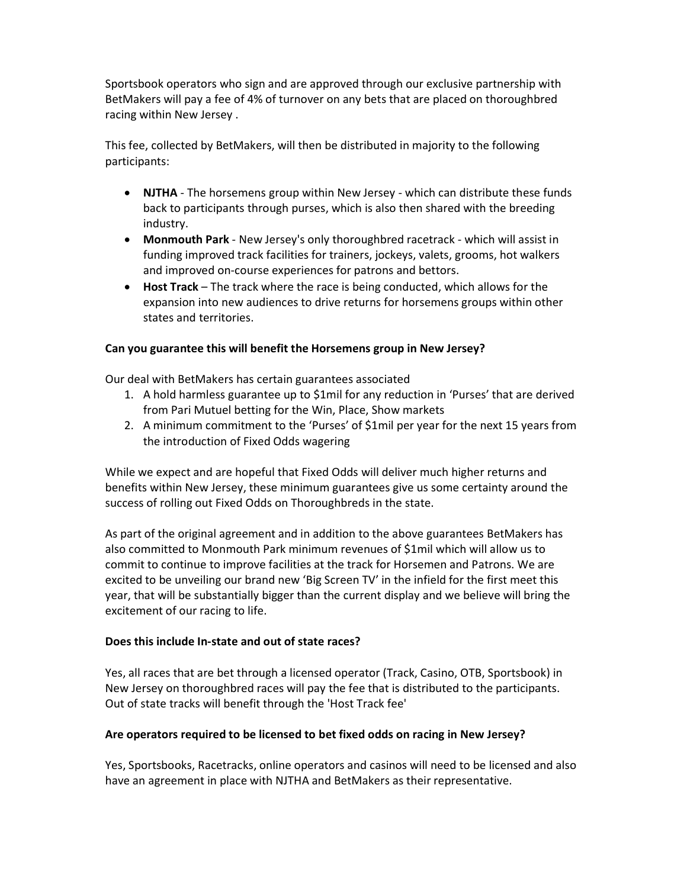Sportsbook operators who sign and are approved through our exclusive partnership with BetMakers will pay a fee of 4% of turnover on any bets that are placed on thoroughbred racing within New Jersey .

This fee, collected by BetMakers, will then be distributed in majority to the following participants:

- NJTHA The horsemens group within New Jersey which can distribute these funds back to participants through purses, which is also then shared with the breeding industry.
- Monmouth Park New Jersey's only thoroughbred racetrack which will assist in funding improved track facilities for trainers, jockeys, valets, grooms, hot walkers and improved on-course experiences for patrons and bettors.
- Host Track The track where the race is being conducted, which allows for the expansion into new audiences to drive returns for horsemens groups within other states and territories.

### Can you guarantee this will benefit the Horsemens group in New Jersey?

Our deal with BetMakers has certain guarantees associated

- 1. A hold harmless guarantee up to \$1mil for any reduction in 'Purses' that are derived from Pari Mutuel betting for the Win, Place, Show markets
- 2. A minimum commitment to the 'Purses' of \$1mil per year for the next 15 years from the introduction of Fixed Odds wagering

While we expect and are hopeful that Fixed Odds will deliver much higher returns and benefits within New Jersey, these minimum guarantees give us some certainty around the success of rolling out Fixed Odds on Thoroughbreds in the state.

As part of the original agreement and in addition to the above guarantees BetMakers has also committed to Monmouth Park minimum revenues of \$1mil which will allow us to commit to continue to improve facilities at the track for Horsemen and Patrons. We are excited to be unveiling our brand new 'Big Screen TV' in the infield for the first meet this year, that will be substantially bigger than the current display and we believe will bring the excitement of our racing to life.

#### Does this include In-state and out of state races?

Yes, all races that are bet through a licensed operator (Track, Casino, OTB, Sportsbook) in New Jersey on thoroughbred races will pay the fee that is distributed to the participants. Out of state tracks will benefit through the 'Host Track fee'

#### Are operators required to be licensed to bet fixed odds on racing in New Jersey?

Yes, Sportsbooks, Racetracks, online operators and casinos will need to be licensed and also have an agreement in place with NJTHA and BetMakers as their representative.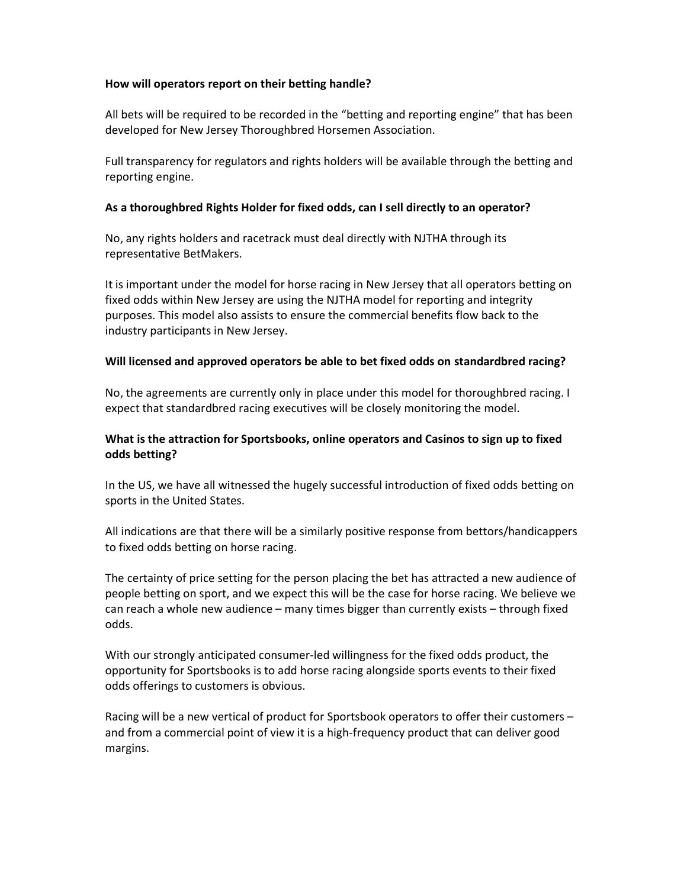### How will operators report on their betting handle?

All bets will be required to be recorded in the "betting and reporting engine" that has been developed for New Jersey Thoroughbred Horsemen Association.

Full transparency for regulators and rights holders will be available through the betting and reporting engine.

## As a thoroughbred Rights Holder for fixed odds, can I sell directly to an operator?

No, any rights holders and racetrack must deal directly with NJTHA through its representative BetMakers.

It is important under the model for horse racing in New Jersey that all operators betting on fixed odds within New Jersey are using the NJTHA model for reporting and integrity purposes. This model also assists to ensure the commercial benefits flow back to the industry participants in New Jersey.

### Will licensed and approved operators be able to bet fixed odds on standardbred racing?

No, the agreements are currently only in place under this model for thoroughbred racing. I expect that standardbred racing executives will be closely monitoring the model.

# What is the attraction for Sportsbooks, online operators and Casinos to sign up to fixed odds betting?

In the US, we have all witnessed the hugely successful introduction of fixed odds betting on sports in the United States.

All indications are that there will be a similarly positive response from bettors/handicappers to fixed odds betting on horse racing.

The certainty of price setting for the person placing the bet has attracted a new audience of people betting on sport, and we expect this will be the case for horse racing. We believe we can reach a whole new audience – many times bigger than currently exists – through fixed odds.

With our strongly anticipated consumer-led willingness for the fixed odds product, the opportunity for Sportsbooks is to add horse racing alongside sports events to their fixed odds offerings to customers is obvious.

Racing will be a new vertical of product for Sportsbook operators to offer their customers – and from a commercial point of view it is a high-frequency product that can deliver good margins.